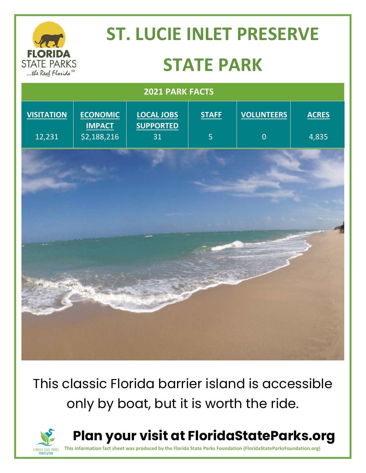|                                                             | <b>ST. LUCIE INLET PRESERVE</b>                 |                                             |                   |                                     |                       |
|-------------------------------------------------------------|-------------------------------------------------|---------------------------------------------|-------------------|-------------------------------------|-----------------------|
| <b>FLORIDA</b><br><b>STATE PARKS</b><br>the Real Florida SM | <b>STATE PARK</b>                               |                                             |                   |                                     |                       |
| <b>2021 PARK FACTS</b>                                      |                                                 |                                             |                   |                                     |                       |
| <b>VISITATION</b><br>12,231                                 | <b>ECONOMIC</b><br><b>IMPACT</b><br>\$2,188,216 | <b>LOCAL JOBS</b><br><b>SUPPORTED</b><br>31 | <b>STAFF</b><br>5 | <b>VOLUNTEERS</b><br>$\overline{0}$ | <b>ACRES</b><br>4,835 |
|                                                             |                                                 |                                             |                   |                                     |                       |
|                                                             |                                                 |                                             |                   |                                     |                       |
|                                                             |                                                 |                                             |                   |                                     |                       |
|                                                             |                                                 |                                             |                   |                                     |                       |
|                                                             |                                                 |                                             |                   |                                     |                       |
|                                                             |                                                 |                                             |                   |                                     |                       |

This classic Florida barrier island is accessible only by boat, but it is worth the ride.



**Plan your visit at FloridaStateParks.org**

**This information fact sheet was produced by the Florida State Parks Foundation (FloridaStateParksFoundation.org)**